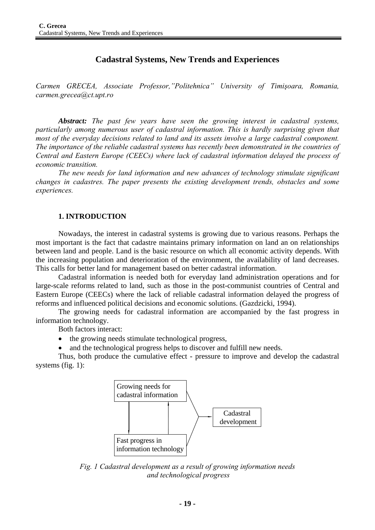# **Cadastral Systems, New Trends and Experiences**

*Carmen GRECEA, Associate Professor,"Politehnica" University of Timişoara, Romania, carmen.grecea@ct.upt.ro* 

*Abstract: The past few years have seen the growing interest in cadastral systems, particularly among numerous user of cadastral information. This is hardly surprising given that most of the everyday decisions related to land and its assets involve a large cadastral component. The importance of the reliable cadastral systems has recently been demonstrated in the countries of Central and Eastern Europe (CEECs) where lack of cadastral information delayed the process of economic transition.* 

*The new needs for land information and new advances of technology stimulate significant changes in cadastres. The paper presents the existing development trends, obstacles and some experiences.* 

#### **1. INTRODUCTION**

Nowadays, the interest in cadastral systems is growing due to various reasons. Perhaps the most important is the fact that cadastre maintains primary information on land an on relationships between land and people. Land is the basic resource on which all economic activity depends. With the increasing population and deterioration of the environment, the availability of land decreases. This calls for better land for management based on better cadastral information.

Cadastral information is needed both for everyday land administration operations and for large-scale reforms related to land, such as those in the post-communist countries of Central and Eastern Europe (CEECs) where the lack of reliable cadastral information delayed the progress of reforms and influenced political decisions and economic solutions. (Gazdzicki, 1994).

The growing needs for cadastral information are accompanied by the fast progress in information technology.

Both factors interact:

- the growing needs stimulate technological progress,
- and the technological progress helps to discover and fulfill new needs.

Thus, both produce the cumulative effect - pressure to improve and develop the cadastral systems (fig. 1):



*Fig. 1 Cadastral development as a result of growing information needs and technological progress*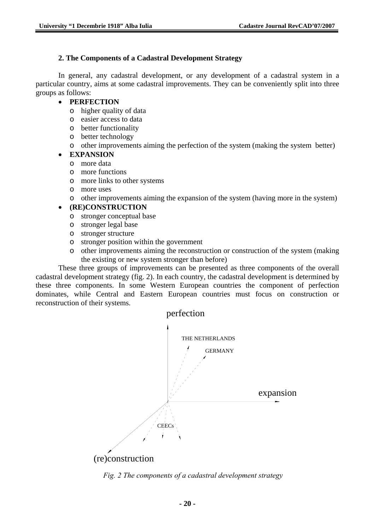## **2. The Components of a Cadastral Development Strategy**

In general, any cadastral development, or any development of a cadastral system in a particular country, aims at some cadastral improvements. They can be conveniently split into three groups as follows:

## • **PERFECTION**

- o higher quality of data
- o easier access to data
- o better functionality
- o better technology
- o other improvements aiming the perfection of the system (making the system better)

# • **EXPANSION**

- o more data
- o more functions
- o more links to other systems
- o more uses
- o other improvements aiming the expansion of the system (having more in the system)

# • **(RE)CONSTRUCTION**

- o stronger conceptual base
- o stronger legal base
- o stronger structure
- o stronger position within the government
- o other improvements aiming the reconstruction or construction of the system (making the existing or new system stronger than before)

These three groups of improvements can be presented as three components of the overall cadastral development strategy (fig. 2). In each country, the cadastral development is determined by these three components. In some Western European countries the component of perfection dominates, while Central and Eastern European countries must focus on construction or reconstruction of their systems.



*Fig. 2 The components of a cadastral development strategy*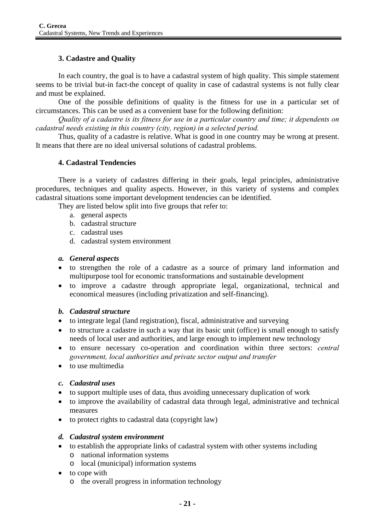### **3. Cadastre and Quality**

In each country, the goal is to have a cadastral system of high quality. This simple statement seems to be trivial but-in fact-the concept of quality in case of cadastral systems is not fully clear and must be explained.

One of the possible definitions of quality is the fitness for use in a particular set of circumstances. This can be used as a convenient base for the following definition:

*Quality of a cadastre is its fitness for use in a particular country and time; it dependents on cadastral needs existing in this country (city, region) in a selected period.* 

Thus, quality of a cadastre is relative. What is good in one country may be wrong at present. It means that there are no ideal universal solutions of cadastral problems.

#### **4. Cadastral Tendencies**

There is a variety of cadastres differing in their goals, legal principles, administrative procedures, techniques and quality aspects. However, in this variety of systems and complex cadastral situations some important development tendencies can be identified.

They are listed below split into five groups that refer to:

- a. general aspects
- b. cadastral structure
- c. cadastral uses
- d. cadastral system environment

#### *a. General aspects*

- to strengthen the role of a cadastre as a source of primary land information and multipurpose tool for economic transformations and sustainable development
- to improve a cadastre through appropriate legal, organizational, technical and economical measures (including privatization and self-financing).

#### *b. Cadastral structure*

- to integrate legal (land registration), fiscal, administrative and surveying
- to structure a cadastre in such a way that its basic unit (office) is small enough to satisfy needs of local user and authorities, and large enough to implement new technology
- to ensure necessary co-operation and coordination within three sectors: *central government, local authorities and private sector output and transfer*
- to use multimedia

### *c. Cadastral uses*

- to support multiple uses of data, thus avoiding unnecessary duplication of work
- to improve the availability of cadastral data through legal, administrative and technical measures
- to protect rights to cadastral data (copyright law)

### *d. Cadastral system environment*

- to establish the appropriate links of cadastral system with other systems including
	- o national information systems
	- o local (municipal) information systems
- to cope with
	- o the overall progress in information technology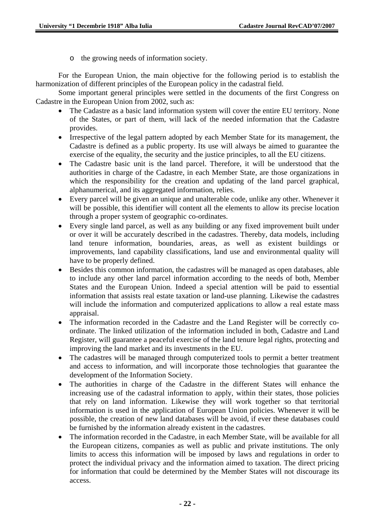o the growing needs of information society.

For the European Union, the main objective for the following period is to establish the harmonization of different principles of the European policy in the cadastral field.

Some important general principles were settled in the documents of the first Congress on Cadastre in the European Union from 2002, such as:

- The Cadastre as a basic land information system will cover the entire EU territory. None of the States, or part of them, will lack of the needed information that the Cadastre provides.
- Irrespective of the legal pattern adopted by each Member State for its management, the Cadastre is defined as a public property. Its use will always be aimed to guarantee the exercise of the equality, the security and the justice principles, to all the EU citizens.
- The Cadastre basic unit is the land parcel. Therefore, it will be understood that the authorities in charge of the Cadastre, in each Member State, are those organizations in which the responsibility for the creation and updating of the land parcel graphical, alphanumerical, and its aggregated information, relies.
- Every parcel will be given an unique and unalterable code, unlike any other. Whenever it will be possible, this identifier will content all the elements to allow its precise location through a proper system of geographic co-ordinates.
- Every single land parcel, as well as any building or any fixed improvement built under or over it will be accurately described in the cadastres. Thereby, data models, including land tenure information, boundaries, areas, as well as existent buildings or improvements, land capability classifications, land use and environmental quality will have to be properly defined.
- Besides this common information, the cadastres will be managed as open databases, able to include any other land parcel information according to the needs of both, Member States and the European Union. Indeed a special attention will be paid to essential information that assists real estate taxation or land-use planning. Likewise the cadastres will include the information and computerized applications to allow a real estate mass appraisal.
- The information recorded in the Cadastre and the Land Register will be correctly coordinate. The linked utilization of the information included in both, Cadastre and Land Register, will guarantee a peaceful exercise of the land tenure legal rights, protecting and improving the land market and its investments in the EU.
- The cadastres will be managed through computerized tools to permit a better treatment and access to information, and will incorporate those technologies that guarantee the development of the Information Society.
- The authorities in charge of the Cadastre in the different States will enhance the increasing use of the cadastral information to apply, within their states, those policies that rely on land information. Likewise they will work together so that territorial information is used in the application of European Union policies. Whenever it will be possible, the creation of new land databases will be avoid, if ever these databases could be furnished by the information already existent in the cadastres.
- The information recorded in the Cadastre, in each Member State, will be available for all the European citizens, companies as well as public and private institutions. The only limits to access this information will be imposed by laws and regulations in order to protect the individual privacy and the information aimed to taxation. The direct pricing for information that could be determined by the Member States will not discourage its access.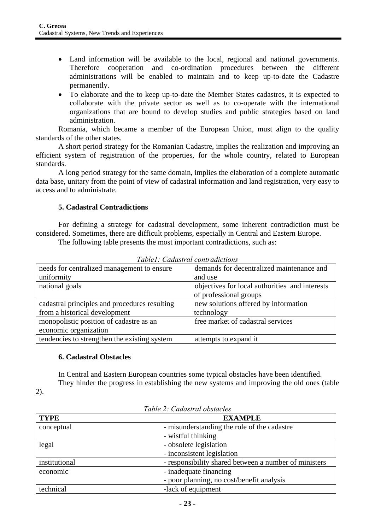- Land information will be available to the local, regional and national governments. Therefore cooperation and co-ordination procedures between the different administrations will be enabled to maintain and to keep up-to-date the Cadastre permanently.
- To elaborate and the to keep up-to-date the Member States cadastres, it is expected to collaborate with the private sector as well as to co-operate with the international organizations that are bound to develop studies and public strategies based on land administration.

Romania, which became a member of the European Union, must align to the quality standards of the other states.

A short period strategy for the Romanian Cadastre, implies the realization and improving an efficient system of registration of the properties, for the whole country, related to European standards.

A long period strategy for the same domain, implies the elaboration of a complete automatic data base, unitary from the point of view of cadastral information and land registration, very easy to access and to administrate.

# **5. Cadastral Contradictions**

For defining a strategy for cadastral development, some inherent contradiction must be considered. Sometimes, there are difficult problems, especially in Central and Eastern Europe.

The following table presents the most important contradictions, such as:

| needs for centralized management to ensure    | demands for decentralized maintenance and      |
|-----------------------------------------------|------------------------------------------------|
| uniformity                                    | and use                                        |
| national goals                                | objectives for local authorities and interests |
|                                               | of professional groups                         |
| cadastral principles and procedures resulting | new solutions offered by information           |
| from a historical development                 | technology                                     |
| monopolistic position of cadastre as an       | free market of cadastral services              |
| economic organization                         |                                                |
| tendencies to strengthen the existing system  | attempts to expand it                          |

*Table1: Cadastral contradictions* 

### **6. Cadastral Obstacles**

2).

In Central and Eastern European countries some typical obstacles have been identified.

They hinder the progress in establishing the new systems and improving the old ones (table

**TYPE EXAMPLE**  conceptual - misunderstanding the role of the cadastre - wistful thinking legal - obsolete legislation - inconsistent legislation institutional - responsibility shared between a number of ministers economic - inadequate financing - poor planning, no cost/benefit analysis technical -lack of equipment